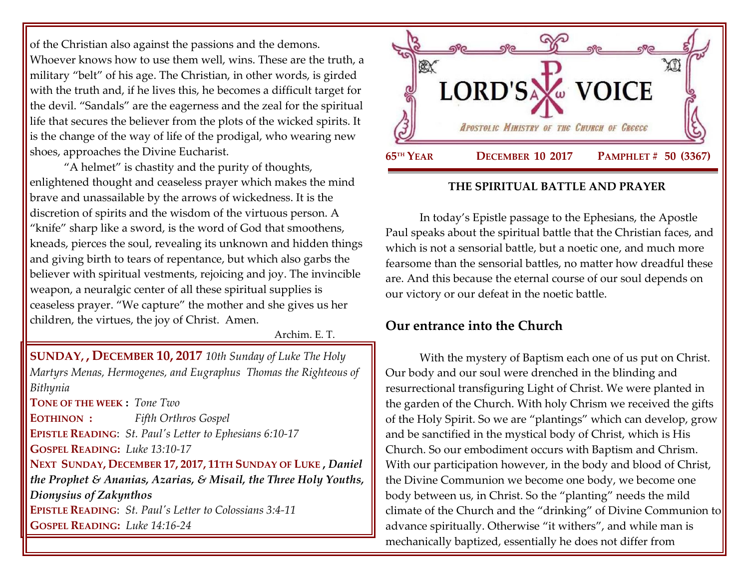of the Christian also against the passions and the demons. Whoever knows how to use them well, wins. These are the truth, a military "belt" of his age. The Christian, in other words, is girded with the truth and, if he lives this, he becomes a difficult target for the devil. "Sandals" are the eagerness and the zeal for the spiritual life that secures the believer from the plots of the wicked spirits. It is the change of the way of life of the prodigal, who wearing new shoes, approaches the Divine Eucharist.

"A helmet" is chastity and the purity of thoughts, enlightened thought and ceaseless prayer which makes the mind brave and unassailable by the arrows of wickedness. It is the discretion of spirits and the wisdom of the virtuous person. A "knife" sharp like a sword, is the word of God that smoothens, kneads, pierces the soul, revealing its unknown and hidden things and giving birth to tears of repentance, but which also garbs the believer with spiritual vestments, rejoicing and joy. The invincible weapon, a neuralgic center of all these spiritual supplies is ceaseless prayer. "We capture" the mother and she gives us her children, the virtues, the joy of Christ. Amen.

Archim. E. T.

**SUNDAY, , DECEMBER 10, 2017** *[10th Sunday of Luke The Holy](https://www.goarch.org/chapel/saints?contentid=1097&PCode=10LS&D=S&date=12/10/2017)  Martyrs Menas, Hermogenes, and Eugraphus Thomas the Righteous of Bithynia*

**TONE OF THE WEEK :** *Tone Two* **EOTHINON :** *Fifth Orthros Gospel* **EPISTLE READING**: *St. Paul's Letter [to Ephesians 6:10-17](https://www.goarch.org/chapel/lectionary?type=epistle&code=27&event=940&date=5/28/2017)* **GOSPEL R[EADING](https://www.goarch.org/chapel/lectionary?type=epistle&code=27&event=940&date=5/28/2017):** *Luke 13:10-17* **NEXT SUNDAY, DECEMBER 17, 2017, 11TH S[UNDAY OF](https://www.goarch.org/chapel/saints?contentid=1111&PCode=11LS&D=S&date=12/17/2017) LUKE ,** *Daniel the Prophet & Ananias, Azarias, & Misail, the Three Holy Youths, [Dionysius of Zakynthos](https://www.goarch.org/chapel/saints?contentid=342)* **EPISTLE READING**: *[St. Paul's Letter](https://www.goarch.org/chapel/lectionary?type=epistle&code=27&event=940&date=5/28/2017) to Colossians 3:4-11* **GOSPEL R[EADING](https://www.goarch.org/chapel/lectionary?type=epistle&code=27&event=940&date=5/28/2017):** *Luke 14:16-24*



#### **THE SPIRITUAL BATTLE AND PRAYER**

In today's Epistle passage to the Ephesians, the Apostle Paul speaks about the spiritual battle that the Christian faces, and which is not a sensorial battle, but a noetic one, and much more fearsome than the sensorial battles, no matter how dreadful these are. And this because the eternal course of our soul depends on our victory or our defeat in the noetic battle.

# **Our entrance into the Church**

With the mystery of Baptism each one of us put on Christ. Our body and our soul were drenched in the blinding and resurrectional transfiguring Light of Christ. We were planted in the garden of the Church. With holy Chrism we received the gifts of the Holy Spirit. So we are "plantings" which can develop, grow and be sanctified in the mystical body of Christ, which is His Church. So our embodiment occurs with Baptism and Chrism. With our participation however, in the body and blood of Christ, the Divine Communion we become one body, we become one body between us, in Christ. So the "planting" needs the mild climate of the Church and the "drinking" of Divine Communion to advance spiritually. Otherwise "it withers", and while man is mechanically baptized, essentially he does not differ from